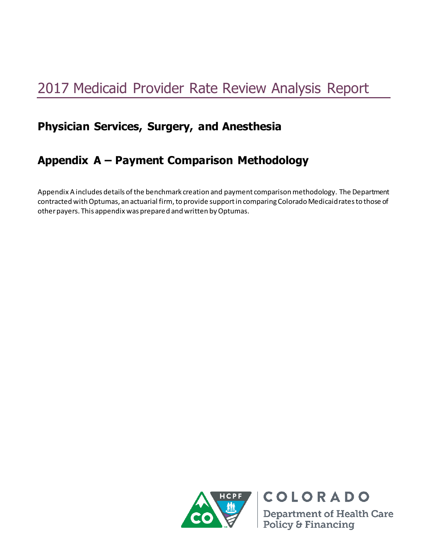# 2017 Medicaid Provider Rate Review Analysis Report

# **Physician Services, Surgery, and Anesthesia**

# **Appendix A – Payment Comparison Methodology**

Appendix A includes details of the benchmark creation and payment comparison methodology. The Department contracted with Optumas, an actuarial firm, to provide support in comparing Colorado Medicaid rates to those of other payers. This appendix was prepared and written by Optumas.



**Department of Health Care** Policy & Financing

**COLORADO**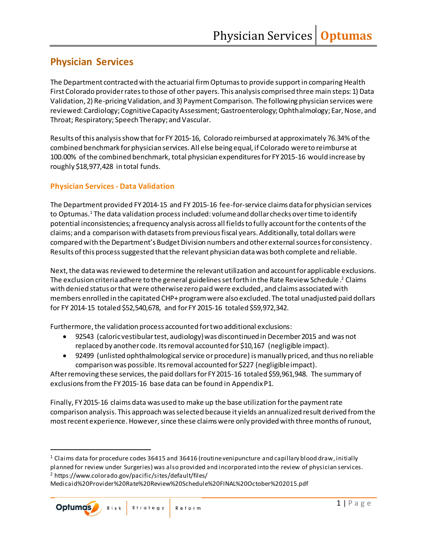# **Physician Services**

The Department contracted with the actuarial firm Optumasto provide support in comparing Health First Colorado provider rates to those of other payers. This analysis comprised three main steps: 1) Data Validation, 2) Re-pricing Validation, and 3) Payment Comparison. The following physician services were reviewed: Cardiology; Cognitive Capacity Assessment; Gastroenterology; Ophthalmology; Ear, Nose, and Throat; Respiratory; Speech Therapy; and Vascular.

Results of this analysis show that for FY 2015-16, Colorado reimbursed at approximately 76.34% of the combined benchmark for physician services. All else being equal, if Colorado were to reimburse at 100.00% of the combined benchmark, total physician expenditures for FY 2015-16 would increase by roughly \$18,977,428 in total funds.

#### **Physician Services - Data Validation**

The Department provided FY2014-15 and FY 2015-16 fee-for-service claims data for physician services to Optumas.<sup>1</sup> The data validation process included: volume and dollar checks over time to identify potential inconsistencies; a frequency analysis across all fields to fully account for the contents of the claims; and a comparison with datasets from previousfiscal years. Additionally, total dollars were compared with the Department's Budget Division numbers and other external sources for consistency . Results of this process suggested that the relevant physician data was both complete and reliable.

Next, the data was reviewed to determine the relevant utilization and account for applicable exclusions. The exclusion criteria adhere to the general guidelines set forth in the Rate Review Schedule . <sup>2</sup> Claims with denied status or that were otherwise zero paid were excluded, and claims associated with members enrolled in the capitated CHP+ program were also excluded. The total unadjusted paid dollars for FY 2014-15 totaled \$52,540,678, and for FY 2015-16 totaled \$59,972,342.

Furthermore, the validation process accounted for two additional exclusions:

- 92543 (caloric vestibular test, audiology) was discontinued in December 2015 and was not replaced by another code. Its removal accounted for \$10,167 (negligible impact).
- 92499 (unlisted ophthalmological service or procedure) is manually priced, and thus no reliable comparison was possible. Its removal accounted for \$227 (negligible impact).

After removing these services, the paid dollars for FY 2015-16 totaled \$59,961,948. The summary of exclusions from the FY 2015-16 base data can be found in Appendix P1.

Finally, FY 2015-16 claims data was used to make up the base utilization for the payment rate comparison analysis. This approach was selected because it yields an annualized result derived from the most recent experience. However, since these claims were only provided with three months of runout,

Medicaid%20Provider%20Rate%20Review%20Schedule%20FINAL%20October%202015.pdf



<sup>1</sup> Claims data for procedure codes 36415 and 36416 (routine venipuncture and capillary blood draw, initially planned for review under Surgeries) was also provided and incorporated into the review of physician services. <sup>2</sup> https://www.colorado.gov/pacific/sites/default/files/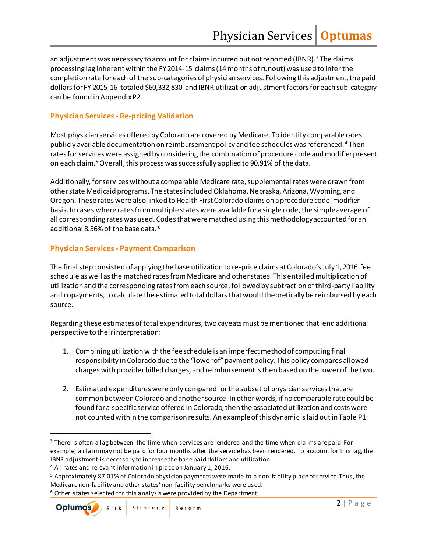an adjustment was necessary to account for claims incurred but not reported (IBNR).<sup>3</sup> The claims processing lag inherent within the FY 2014-15 claims (14 months of runout) was used to infer the completion rate for each of the sub-categories of physician services. Following this adjustment, the paid dollars for FY 2015-16 totaled \$60,332,830 and IBNR utilization adjustment factors for each sub-category can be found in Appendix P2.

#### **Physician Services - Re-pricing Validation**

Most physician services offered by Colorado are covered by Medicare. To identify comparable rates, publicly available documentation on reimbursement policy and fee schedules was referenced. <sup>4</sup> Then rates for services were assigned by considering the combination of procedure code and modifier present on each claim.<sup>5</sup>Overall, this process was successfully applied to 90.91% of the data.

Additionally, for services without a comparable Medicare rate, supplemental rates were drawn from other state Medicaid programs. The states included Oklahoma, Nebraska, Arizona, Wyoming, and Oregon. These rates were also linked to Health First Colorado claims on a procedure code-modifier basis. In cases where rates from multiple states were available for a single code, the simple average of all corresponding rates was used. Codes that were matched using this methodology accounted for an additional 8.56% of the base data. <sup>6</sup>

#### **Physician Services - Payment Comparison**

The final step consisted of applying the base utilization to re-price claims at Colorado's July 1, 2016 fee schedule as well as the matched rates from Medicare and other states. This entailed multiplication of utilization and the corresponding rates from each source, followed by subtraction of third-party liability and copayments, to calculate the estimated total dollars that would theoretically be reimbursed by each source.

Regarding these estimates of total expenditures, two caveats must be mentioned that lend additional perspective to their interpretation:

- 1. Combining utilization with the fee schedule is an imperfect method of computing final responsibility in Colorado due to the "lower of" payment policy. This policy compares allowed charges with provider billed charges, and reimbursement is then based on the lower of the two.
- 2. Estimated expenditures were only compared for the subset of physician services that are common between Colorado and another source. In other words, if no comparable rate could be found for a specific service offered in Colorado, then the associated utilization and costs were not counted within the comparison results. An example of this dynamic is laid out in Table P1:

<sup>&</sup>lt;sup>3</sup> There is often a lag between the time when services are rendered and the time when claims are paid. For example, a claim may not be paid for four months after the service has been rendered. To account for this lag, the IBNR adjustment is necessary to increase the base paid dollars and utilization.

<sup>4</sup> All rates and relevant information in place on January 1, 2016.

<sup>5</sup> Approximately 87.01% of Colorado physician payments were made to a non-facility place of service. Thus, the Medicare non-facility and other states' non-facility benchmarks were used.

<sup>&</sup>lt;sup>6</sup> Other states selected for this analysis were provided by the Department.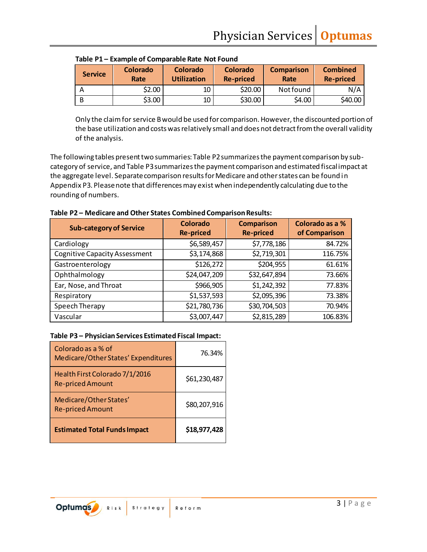| <b>Service</b> | <b>Colorado</b><br>Rate | Colorado<br><b>Utilization</b> | Colorado<br><b>Re-priced</b> | <b>Comparison</b><br>Rate | <b>Combined</b><br><b>Re-priced</b> |
|----------------|-------------------------|--------------------------------|------------------------------|---------------------------|-------------------------------------|
| А              | \$2.00                  | 10                             | \$20.00                      | Not found                 | N/A                                 |
| B              | \$3.00                  | 10                             | \$30.00                      | \$4.00                    | \$40.00                             |

**Table P1 – Example of Comparable Rate Not Found**

Only the claim for service B would be used for comparison. However, the discounted portion of the base utilization and costs was relatively small and does not detract from the overall validity of the analysis.

The following tables present two summaries: Table P2 summarizes the payment comparison by subcategory of service, and Table P3 summarizes the payment comparison and estimated fiscal impact at the aggregate level. Separate comparison results for Medicare and other states can be found in Appendix P3. Please note that differences may exist when independently calculating due to the rounding of numbers.

| Table P2 - Medicare and Other States Combined Comparison Results: |  |  |
|-------------------------------------------------------------------|--|--|
|-------------------------------------------------------------------|--|--|

| <b>Sub-category of Service</b>       | Colorado<br><b>Re-priced</b> | <b>Comparison</b><br><b>Re-priced</b> | Colorado as a %<br>of Comparison |
|--------------------------------------|------------------------------|---------------------------------------|----------------------------------|
| Cardiology                           | \$6,589,457                  | \$7,778,186                           | 84.72%                           |
| <b>Cognitive Capacity Assessment</b> | \$3,174,868                  | \$2,719,301                           | 116.75%                          |
| Gastroenterology                     | \$126,272                    | \$204,955                             | 61.61%                           |
| Ophthalmology                        | \$24,047,209                 | \$32,647,894                          | 73.66%                           |
| Ear, Nose, and Throat                | \$966,905                    | \$1,242,392                           | 77.83%                           |
| Respiratory                          | \$1,537,593                  | \$2,095,396                           | 73.38%                           |
| Speech Therapy                       | \$21,780,736                 | \$30,704,503                          | 70.94%                           |
| Vascular                             | \$3,007,447                  | \$2,815,289                           | 106.83%                          |

#### **Table P3 – Physician Services Estimated Fiscal Impact:**

| Colorado as a % of<br>Medicare/Other States' Expenditures | 76.34%       |
|-----------------------------------------------------------|--------------|
| Health First Colorado 7/1/2016<br><b>Re-priced Amount</b> | \$61,230,487 |
| Medicare/Other States'<br><b>Re-priced Amount</b>         | \$80,207,916 |
| <b>Estimated Total Funds Impact</b>                       | \$18,977,428 |

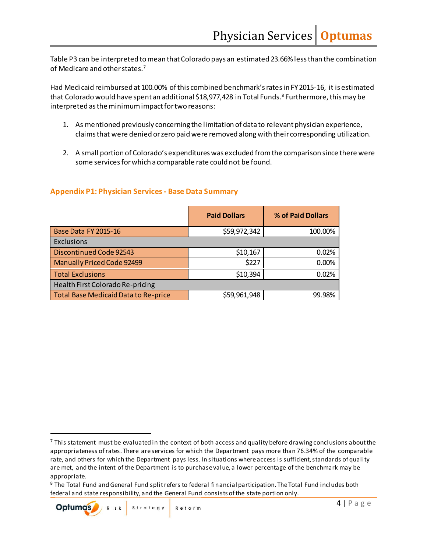Table P3 can be interpreted to mean that Colorado pays an estimated 23.66% lessthan the combination of Medicare and other states.<sup>7</sup>

Had Medicaid reimbursed at 100.00% of this combined benchmark's rates in FY 2015-16, it is estimated that Colorado would have spent an additional \$18,977,428 in Total Funds. <sup>8</sup> Furthermore, this may be interpreted as the minimum impact for two reasons:

- 1. As mentioned previously concerning the limitation of data to relevant physician experience, claims that were denied or zero paid were removed along with their corresponding utilization.
- 2. A small portion of Colorado's expenditures was excluded from the comparison since there were some services for which a comparable rate could not be found.

#### **Appendix P1: Physician Services - Base Data Summary**

|                                      | <b>Paid Dollars</b> | % of Paid Dollars |
|--------------------------------------|---------------------|-------------------|
| <b>Base Data FY 2015-16</b>          | \$59,972,342        | 100.00%           |
| Exclusions                           |                     |                   |
| Discontinued Code 92543              | \$10,167            | 0.02%             |
| <b>Manually Priced Code 92499</b>    | \$227               | 0.00%             |
| <b>Total Exclusions</b>              | \$10,394            | 0.02%             |
| Health First Colorado Re-pricing     |                     |                   |
| Total Base Medicaid Data to Re-price | \$59,961,948        | 99.98%            |

 $7$  This statement must be evaluated in the context of both access and quality before drawing conclusions about the appropriateness of rates. There are services for which the Department pays more than 76.34% of the comparable rate, and others for which the Department pays less. In situations where access is sufficient, standards of quality are met, and the intent of the Department is to purchase value, a lower percentage of the benchmark may be appropriate.

<sup>&</sup>lt;sup>8</sup> The Total Fund and General Fund split refers to federal financial participation. The Total Fund includes both federal and state responsibility, and the General Fund consists of the state portion only.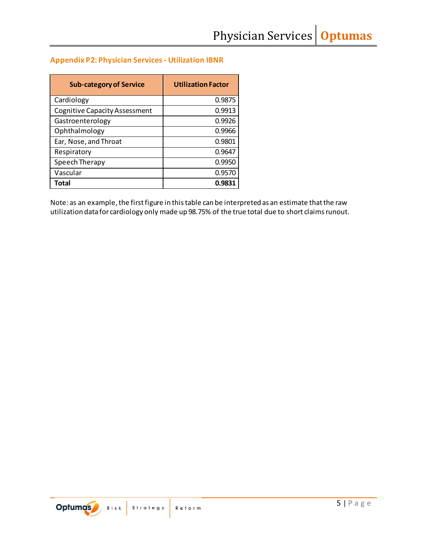### **Appendix P2: Physician Services - Utilization IBNR**

| <b>Sub-category of Service</b>       | <b>Utilization Factor</b> |
|--------------------------------------|---------------------------|
| Cardiology                           | 0.9875                    |
| <b>Cognitive Capacity Assessment</b> | 0.9913                    |
| Gastroenterology                     | 0.9926                    |
| Ophthalmology                        | 0.9966                    |
| Ear, Nose, and Throat                | 0.9801                    |
| Respiratory                          | 0.9647                    |
| Speech Therapy                       | 0.9950                    |
| Vascular                             | 0.9570                    |
| Total                                | 0.9831                    |

Note: as an example, the first figure in this table can be interpreted as an estimate that the raw utilization data for cardiology only made up 98.75% of the true total due to short claimsrunout.

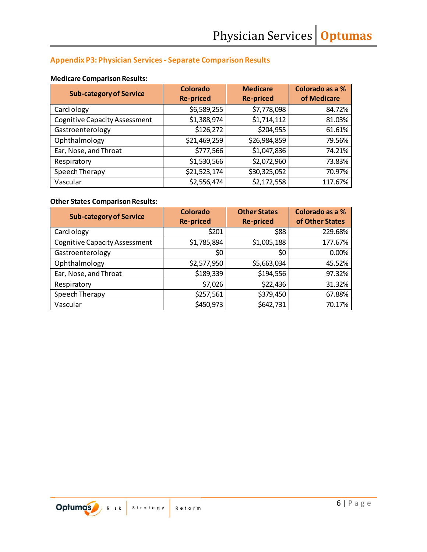# **Appendix P3: Physician Services - Separate Comparison Results**

#### **Medicare Comparison Results:**

| <b>Sub-category of Service</b>       | Colorado<br><b>Re-priced</b> | <b>Medicare</b><br><b>Re-priced</b> | Colorado as a %<br>of Medicare |
|--------------------------------------|------------------------------|-------------------------------------|--------------------------------|
| Cardiology                           | \$6,589,255                  | \$7,778,098                         | 84.72%                         |
| <b>Cognitive Capacity Assessment</b> | \$1,388,974                  | \$1,714,112                         | 81.03%                         |
| Gastroenterology                     | \$126,272                    | \$204,955                           | 61.61%                         |
| Ophthalmology                        | \$21,469,259                 | \$26,984,859                        | 79.56%                         |
| Ear, Nose, and Throat                | \$777,566                    | \$1,047,836                         | 74.21%                         |
| Respiratory                          | \$1,530,566                  | \$2,072,960                         | 73.83%                         |
| Speech Therapy                       | \$21,523,174                 | \$30,325,052                        | 70.97%                         |
| Vascular                             | \$2,556,474                  | \$2,172,558                         | 117.67%                        |

## **Other States Comparison Results:**

| <b>Sub-category of Service</b>       | <b>Colorado</b><br><b>Re-priced</b> | <b>Other States</b><br><b>Re-priced</b> | Colorado as a %<br>of Other States |
|--------------------------------------|-------------------------------------|-----------------------------------------|------------------------------------|
| Cardiology                           | \$201                               | \$88                                    | 229.68%                            |
| <b>Cognitive Capacity Assessment</b> | \$1,785,894                         | \$1,005,188                             | 177.67%                            |
| Gastroenterology                     | \$0                                 | \$0                                     | 0.00%                              |
| Ophthalmology                        | \$2,577,950                         | \$5,663,034                             | 45.52%                             |
| Ear, Nose, and Throat                | \$189,339                           | \$194,556                               | 97.32%                             |
| Respiratory                          | \$7,026                             | \$22,436                                | 31.32%                             |
| Speech Therapy                       | \$257,561                           | \$379,450                               | 67.88%                             |
| Vascular                             | \$450,973                           | \$642,731                               | 70.17%                             |

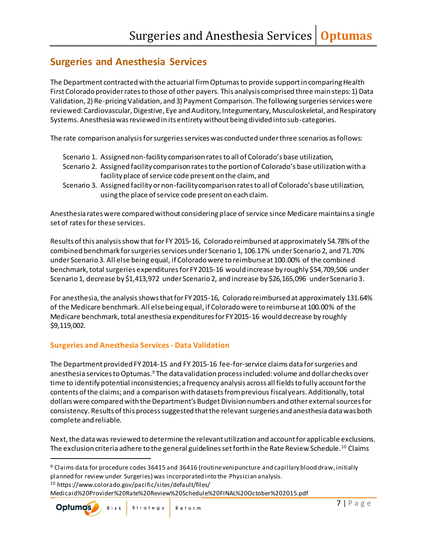# **Surgeries and Anesthesia Services**

The Department contracted with the actuarial firm Optumas to provide support in comparing Health First Colorado provider rates to those of other payers. This analysis comprised three main steps: 1) Data Validation, 2) Re-pricing Validation, and 3) Payment Comparison. The following surgeries services were reviewed: Cardiovascular, Digestive, Eye and Auditory, Integumentary, Musculoskeletal, and Respiratory Systems. Anesthesia was reviewed in its entirety without being divided into sub-categories.

The rate comparison analysis for surgeries services was conducted under three scenarios as follows:

- Scenario 1. Assigned non-facility comparison rates to all of Colorado's base utilization,
- Scenario 2. Assigned facility comparison rates to the portion of Colorado's base utilization with a facility place of service code present on the claim, and
- Scenario 3. Assigned facility or non-facility comparison rates to all of Colorado's base utilization, using the place of service code present on each claim.

Anesthesia rates were compared without considering place of service since Medicare maintains a single set of rates for these services.

Results of this analysis show that for FY 2015-16, Colorado reimbursed at approximately 54.78% of the combined benchmark for surgeries services under Scenario 1, 106.17% under Scenario 2, and 71.70% under Scenario 3. All else being equal, if Colorado were to reimburse at 100.00% of the combined benchmark, total surgeries expenditures for FY 2015-16 would increase by roughly \$54,709,506 under Scenario 1, decrease by \$1,413,972 under Scenario 2, and increase by \$26,165,096 under Scenario 3.

For anesthesia, the analysis shows that for FY 2015-16, Colorado reimbursed at approximately 131.64% of the Medicare benchmark. All else being equal, if Colorado were to reimburse at 100.00% of the Medicare benchmark, total anesthesia expenditures for FY 2015-16 would decrease by roughly \$9,119,002.

# **Surgeries and Anesthesia Services- Data Validation**

The Department provided FY 2014-15 and FY 2015-16 fee-for-service claims data for surgeries and anesthesia services to Optumas.<sup>9</sup> The data validation process included: volume and dollar checks over time to identify potential inconsistencies; a frequency analysis across all fields to fully account for the contents of the claims; and a comparison with datasets from previousfiscal years. Additionally, total dollars were compared with the Department's Budget Division numbers and other external sources for consistency. Results of this process suggested that the relevant surgeries and anesthesia data was both complete and reliable.

Next, the data was reviewed to determine the relevant utilization and account for applicable exclusions. The exclusion criteria adhere to the general guidelines set forth in the Rate Review Schedule.<sup>10</sup> Claims

<sup>9</sup> Claims data for procedure codes 36415 and 36416 (routine venipuncture and capillary blood draw, initially planned for review under Surgeries) was incorporated into the Physician analysis. <sup>10</sup> https://www.colorado.gov/pacific/sites/default/files/ Medicaid%20Provider%20Rate%20Review%20Schedule%20FINAL%20October%202015.pdf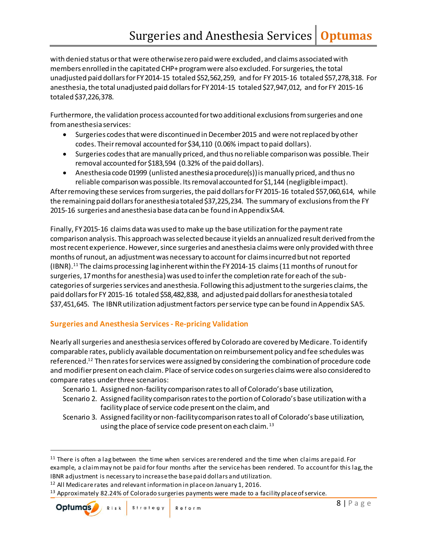with denied status or that were otherwise zero paid were excluded, and claims associated with members enrolled in the capitated CHP+ program were also excluded. For surgeries, the total unadjusted paid dollars for FY 2014-15 totaled \$52,562,259, and for FY 2015-16 totaled \$57,278,318. For anesthesia, the total unadjusted paid dollars for FY 2014-15 totaled \$27,947,012, and for FY 2015-16 totaled \$37,226,378.

Furthermore, the validation process accounted for two additional exclusions from surgeries and one from anesthesia services:

- Surgeries codes that were discontinued in December 2015 and were not replaced by other codes. Their removal accounted for \$34,110 (0.06% impact to paid dollars).
- Surgeries codes that are manually priced, and thus no reliable comparison was possible. Their removal accounted for \$183,594 (0.32% of the paid dollars).
- Anesthesia code 01999 (unlisted anesthesia procedure(s)) is manually priced, and thus no reliable comparison was possible. Its removal accounted for \$1,144 (negligible impact).

After removing these services from surgeries, the paid dollars for FY 2015-16 totaled \$57,060,614, while the remaining paid dollars for anesthesia totaled \$37,225,234. The summary of exclusions from the FY 2015-16 surgeries and anesthesia base data can be found in Appendix SA4.

Finally, FY 2015-16 claims data was used to make up the base utilization for the payment rate comparison analysis. This approach was selected because it yields an annualized result derived from the most recent experience. However, since surgeries and anesthesia claims were only provided with three months of runout, an adjustment was necessary to account for claims incurred but not reported (IBNR).<sup>11</sup> The claims processing lag inherent within the FY 2014-15 claims (11 months of runoutfor surgeries, 17 months for anesthesia) was used to infer the completion rate for each of the subcategories of surgeries services and anesthesia. Following this adjustment to the surgeries claims, the paid dollars for FY 2015-16 totaled \$58,482,838, and adjusted paid dollars for anesthesia totaled \$37,451,645. The IBNR utilization adjustment factors perservice type can be found in Appendix SA5.

# **Surgeries and Anesthesia Services- Re-pricing Validation**

Nearly all surgeries and anesthesia services offered by Colorado are covered by Medicare. To identify comparable rates, publicly available documentation on reimbursement policy and fee schedules was referenced.<sup>12</sup> Then rates for services were assigned by considering the combination of procedure code and modifier present on each claim. Place of service codes on surgeries claims were also considered to compare rates under three scenarios:

- Scenario 1. Assigned non-facility comparison rates to all of Colorado's base utilization,
- Scenario 2. Assigned facility comparison rates to the portion of Colorado's base utilization with a facility place of service code present on the claim, and
- Scenario 3. Assigned facility or non-facility comparison rates to all of Colorado's base utilization, using the place of service code present on each claim.<sup>13</sup>

<sup>13</sup> Approximately 82.24% of Colorado surgeries payments were made to a facility place of service.

<sup>&</sup>lt;sup>11</sup> There is often a lag between the time when services are rendered and the time when claims are paid. For example, a claim may not be paid for four months after the service has been rendered. To account for this lag, the IBNR adjustment is necessary to increase the base paid dollars and utilization.

<sup>12</sup> All Medicare rates and relevant information in place on January 1, 2016.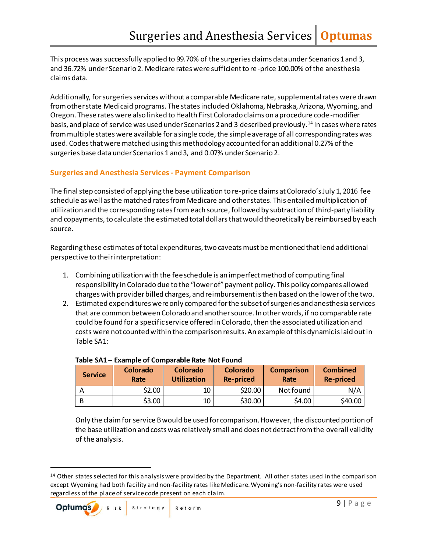This process was successfully applied to 99.70% of the surgeries claims data under Scenarios 1 and 3, and 36.72% under Scenario 2. Medicare rates were sufficient to re-price 100.00% of the anesthesia claims data.

Additionally, for surgeries services without a comparable Medicare rate, supplemental rates were drawn from other state Medicaid programs. The states included Oklahoma, Nebraska, Arizona, Wyoming, and Oregon. These rates were also linked to Health First Colorado claims on a procedure code -modifier basis, and place of service was used under Scenarios 2 and 3 described previously. <sup>14</sup> In cases where rates from multiple states were available for a single code, the simple average of all corresponding rates was used. Codes that were matched using this methodology accounted for an additional 0.27% of the surgeries base data under Scenarios 1 and 3, and 0.07% under Scenario 2.

#### **Surgeries and Anesthesia Services- Payment Comparison**

The final step consisted of applying the base utilization to re-price claims at Colorado's July 1, 2016 fee schedule as well as the matched rates from Medicare and other states. This entailed multiplication of utilization and the corresponding rates from each source, followed by subtraction of third-party liability and copayments, to calculate the estimated total dollars that would theoretically be reimbursed by each source.

Regarding these estimates of total expenditures, two caveats must be mentioned that lend additional perspective to their interpretation:

- 1. Combining utilization with the fee schedule is an imperfect method of computing final responsibility in Colorado due to the "lower of" payment policy. This policy compares allowed charges with provider billed charges, and reimbursement is then based on the lower of the two.
- 2. Estimated expenditures were only compared for the subset of surgeries and anesthesia services that are common between Colorado and another source. In other words, if no comparable rate could be found for a specific service offered in Colorado, then the associated utilization and costs were not counted within the comparison results. An example of this dynamic is laid out in Table SA1:

| <b>Service</b> | <b>Colorado</b><br>Rate | Colorado<br><b>Utilization</b> | <b>Colorado</b><br><b>Re-priced</b> | <b>Comparison</b><br>Rate | <b>Combined</b><br>Re-priced |
|----------------|-------------------------|--------------------------------|-------------------------------------|---------------------------|------------------------------|
|                | \$2.00                  | 10                             | \$20.00                             | Not found                 | N/A                          |
|                | \$3.00                  | 10                             | \$30.00                             | \$4.00                    | \$40.00                      |

#### **Table SA1 – Example of Comparable Rate Not Found**

Only the claim for service B would be used for comparison. However, the discounted portion of the base utilization and costs was relatively small and does not detract from the overall validity of the analysis.

 $14$  Other states selected for this analysis were provided by the Department. All other states used in the comparison except Wyoming had both facility and non-facility rates like Medicare. Wyoming's non-facility rates were used regardless of the place of service code present on each claim.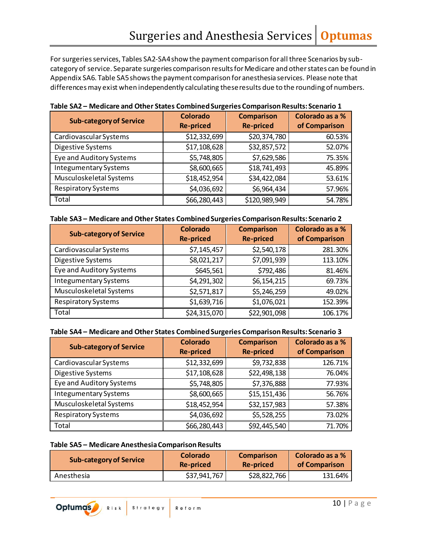For surgeries services, Tables SA2-SA4 show the payment comparison for all three Scenarios by subcategory of service. Separate surgeries comparison results for Medicare and other states can be found in Appendix SA6. Table SA5 shows the payment comparison for anesthesia services. Please note that differences may exist when independently calculating these results due to the rounding of numbers.

| <b>Sub-category of Service</b> | <b>Colorado</b><br><b>Re-priced</b> | <b>Comparison</b><br><b>Re-priced</b> | Colorado as a %<br>of Comparison |
|--------------------------------|-------------------------------------|---------------------------------------|----------------------------------|
| Cardiovascular Systems         | \$12,332,699                        | \$20,374,780                          | 60.53%                           |
| Digestive Systems              | \$17,108,628                        | \$32,857,572                          | 52.07%                           |
| Eye and Auditory Systems       | \$5,748,805                         | \$7,629,586                           | 75.35%                           |
| <b>Integumentary Systems</b>   | \$8,600,665                         | \$18,741,493                          | 45.89%                           |
| Musculoskeletal Systems        | \$18,452,954                        | \$34,422,084                          | 53.61%                           |
| <b>Respiratory Systems</b>     | \$4,036,692                         | \$6,964,434                           | 57.96%                           |
| Total                          | \$66,280,443                        | \$120,989,949                         | 54.78%                           |

|  | Table SA2 - Medicare and Other States Combined Surgeries Comparison Results: Scenario 1 |  |  |  |  |  |
|--|-----------------------------------------------------------------------------------------|--|--|--|--|--|
|--|-----------------------------------------------------------------------------------------|--|--|--|--|--|

| <b>Sub-category of Service</b> | Colorado<br><b>Re-priced</b> | <b>Comparison</b><br><b>Re-priced</b> | Colorado as a %<br>of Comparison |
|--------------------------------|------------------------------|---------------------------------------|----------------------------------|
| Cardiovascular Systems         | \$7,145,457                  | \$2,540,178                           | 281.30%                          |
| Digestive Systems              | \$8,021,217                  | \$7,091,939                           | 113.10%                          |
| Eye and Auditory Systems       | \$645,561                    | \$792,486                             | 81.46%                           |
| <b>Integumentary Systems</b>   | \$4,291,302                  | \$6,154,215                           | 69.73%                           |
| Musculoskeletal Systems        | \$2,571,817                  | \$5,246,259                           | 49.02%                           |
| <b>Respiratory Systems</b>     | \$1,639,716                  | \$1,076,021                           | 152.39%                          |
| Total                          | \$24,315,070                 | \$22,901,098                          | 106.17%                          |

#### **Table SA4 – Medicare and Other States Combined Surgeries Comparison Results: Scenario 3**

| <b>Sub-category of Service</b> | <b>Colorado</b><br><b>Re-priced</b> | <b>Comparison</b><br><b>Re-priced</b> | Colorado as a %<br>of Comparison |
|--------------------------------|-------------------------------------|---------------------------------------|----------------------------------|
| Cardiovascular Systems         | \$12,332,699                        | \$9,732,838                           | 126.71%                          |
| Digestive Systems              | \$17,108,628                        | \$22,498,138                          | 76.04%                           |
| Eye and Auditory Systems       | \$5,748,805                         | \$7,376,888                           | 77.93%                           |
| <b>Integumentary Systems</b>   | \$8,600,665                         | \$15,151,436                          | 56.76%                           |
| Musculoskeletal Systems        | \$18,452,954                        | \$32,157,983                          | 57.38%                           |
| <b>Respiratory Systems</b>     | \$4,036,692                         | \$5,528,255                           | 73.02%                           |
| Total                          | \$66,280,443                        | \$92,445,540                          | 71.70%                           |

#### **Table SA5 – Medicare Anesthesia Comparison Results**

| <b>Sub-category of Service</b> | Colorado         | <b>Comparison</b> | Colorado as a % |
|--------------------------------|------------------|-------------------|-----------------|
|                                | <b>Re-priced</b> | Re-priced         | of Comparison   |
| Anesthesia                     | \$37,941,767     | \$28,822,766      | 131.64%         |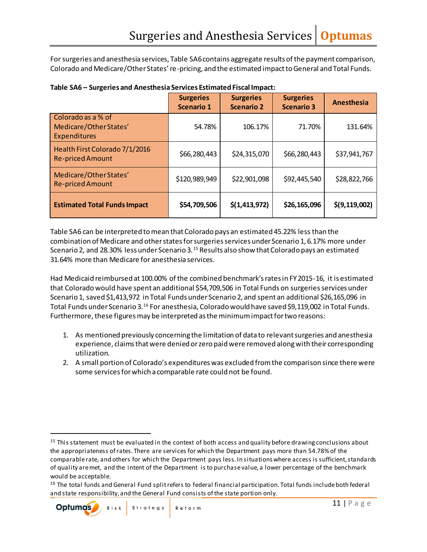For surgeries and anesthesia services, Table SA6 contains aggregate results of the payment comparison, Colorado and Medicare/Other States' re-pricing, and the estimated impact to General and Total Funds.

|                                                              | <b>Surgeries</b><br><b>Scenario 1</b> | <b>Surgeries</b><br><b>Scenario 2</b> | <b>Surgeries</b><br><b>Scenario 3</b> | <b>Anesthesia</b> |
|--------------------------------------------------------------|---------------------------------------|---------------------------------------|---------------------------------------|-------------------|
| Colorado as a % of<br>Medicare/Other States'<br>Expenditures | 54.78%                                | 106.17%                               | 71.70%                                | 131.64%           |
| Health First Colorado 7/1/2016<br><b>Re-priced Amount</b>    | \$66,280,443                          | \$24,315,070                          | \$66,280,443                          | \$37,941,767      |
| Medicare/Other States'<br><b>Re-priced Amount</b>            | \$120,989,949                         | \$22,901,098                          | \$92,445,540                          | \$28,822,766      |
| <b>Estimated Total Funds Impact</b>                          | \$54,709,506                          | \$(1, 413, 972)                       | \$26,165,096                          | \$(9, 119, 002)   |

|  |  |  | Table SA6 - Surgeries and Anesthesia Services Estimated Fiscal Impact: |
|--|--|--|------------------------------------------------------------------------|
|--|--|--|------------------------------------------------------------------------|

Table SA6 can be interpreted to mean that Colorado pays an estimated 45.22% less than the combination of Medicare and other states for surgeries services under Scenario 1, 6.17% more under Scenario 2, and 28.30% less under Scenario 3.<sup>15</sup> Results also show that Colorado pays an estimated 31.64% more than Medicare for anesthesia services.

Had Medicaid reimbursed at 100.00% of the combined benchmark's rates in FY 2015-16, it is estimated that Colorado would have spent an additional \$54,709,506 in Total Funds on surgeries services under Scenario 1, saved \$1,413,972 in Total Funds under Scenario 2, and spent an additional \$26,165,096 in Total Funds under Scenario 3.<sup>16</sup> For anesthesia, Colorado would have saved \$9,119,002 in Total Funds. Furthermore, these figures may be interpreted as the minimum impact for two reasons:

- 1. As mentioned previously concerning the limitation of data to relevant surgeries and anesthesia experience, claims that were denied or zero paid were removed along with their corresponding utilization.
- 2. A small portion of Colorado's expenditures was excluded from the comparison since there were some services for which a comparable rate could not be found.

<sup>&</sup>lt;sup>15</sup> This statement must be evaluated in the context of both access and quality before drawing conclusions about the appropriateness of rates. There are services for which the Department pays more than 54.78% of the comparable rate, and others for which the Department pays less. In situations where access is sufficient, standards of quality are met, and the intent of the Department is to purchase value, a lower percentage of the benchmark would be acceptable.

<sup>&</sup>lt;sup>16</sup> The total funds and General Fund split refers to federal financial participation. Total funds include both federal and state responsibility, and the General Fund consists of the state portion only.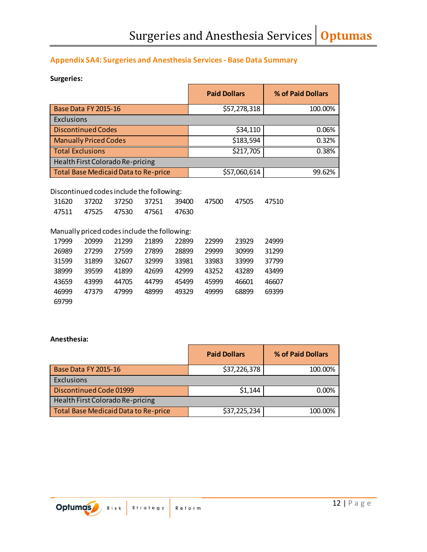# **Appendix SA4: Surgeries and Anesthesia Services- Base Data Summary**

#### **Surgeries:**

|                                                                                                                                     | <b>Paid Dollars</b> | % of Paid Dollars |
|-------------------------------------------------------------------------------------------------------------------------------------|---------------------|-------------------|
| Base Data FY 2015-16                                                                                                                | \$57,278,318        | 100.00%           |
| Exclusions                                                                                                                          |                     |                   |
| <b>Discontinued Codes</b>                                                                                                           | \$34,110            | 0.06%             |
| <b>Manually Priced Codes</b>                                                                                                        | \$183,594           | 0.32%             |
| <b>Total Exclusions</b>                                                                                                             | \$217,705           | 0.38%             |
| Health First Colorado Re-pricing                                                                                                    |                     |                   |
| Total Base Medicaid Data to Re-price                                                                                                | \$57,060,614        | 99.62%            |
| Discontinued codes include the following:<br>37202<br>37250<br>37251<br>31620<br>39400<br>47630<br>47525<br>47530<br>47561<br>47511 | 47500<br>47505      | 47510             |

# Manually priced codes include the following:

| 17999 | 20999 | 21299 | 21899 | 22899 | 22999 | 23929 | 24999 |
|-------|-------|-------|-------|-------|-------|-------|-------|
| 26989 | 27299 | 27599 | 27899 | 28899 | 29999 | 30999 | 31299 |
| 31599 | 31899 | 32607 | 32999 | 33981 | 33983 | 33999 | 37799 |
| 38999 | 39599 | 41899 | 42699 | 42999 | 43252 | 43289 | 43499 |
| 43659 | 43999 | 44705 | 44799 | 45499 | 45999 | 46601 | 46607 |
| 46999 | 47379 | 47999 | 48999 | 49329 | 49999 | 68899 | 69399 |
| 69799 |       |       |       |       |       |       |       |

#### **Anesthesia:**

|                                             | <b>Paid Dollars</b> | % of Paid Dollars |
|---------------------------------------------|---------------------|-------------------|
| <b>Base Data FY 2015-16</b>                 | \$37,226,378        | 100.00%           |
| Exclusions                                  |                     |                   |
| Discontinued Code 01999                     | \$1,144             | 0.00%             |
| Health First Colorado Re-pricing            |                     |                   |
| <b>Total Base Medicaid Data to Re-price</b> | \$37,225,234        | 100.00%           |

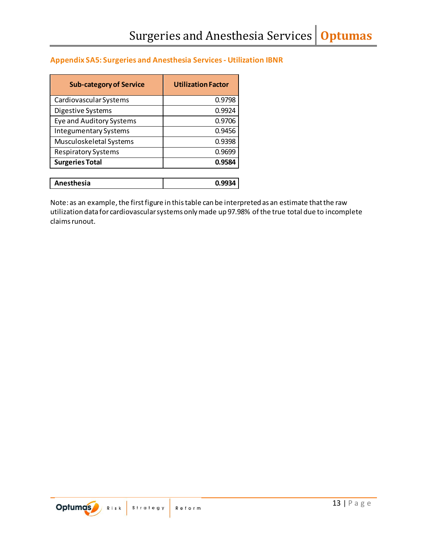# **Appendix SA5: Surgeries and Anesthesia Services- Utilization IBNR**

| <b>Sub-category of Service</b> | <b>Utilization Factor</b> |
|--------------------------------|---------------------------|
| Cardiovascular Systems         | 0.9798                    |
| Digestive Systems              | 0.9924                    |
| Eye and Auditory Systems       | 0.9706                    |
| <b>Integumentary Systems</b>   | 0.9456                    |
| Musculoskeletal Systems        | 0.9398                    |
| <b>Respiratory Systems</b>     | 0.9699                    |
| <b>Surgeries Total</b>         | 0.9584                    |
|                                |                           |
| <b>Anesthesia</b>              |                           |

Note: as an example, the first figure in this table can be interpreted as an estimate that the raw utilization data for cardiovascular systems only made up 97.98% ofthe true total due to incomplete claims runout.

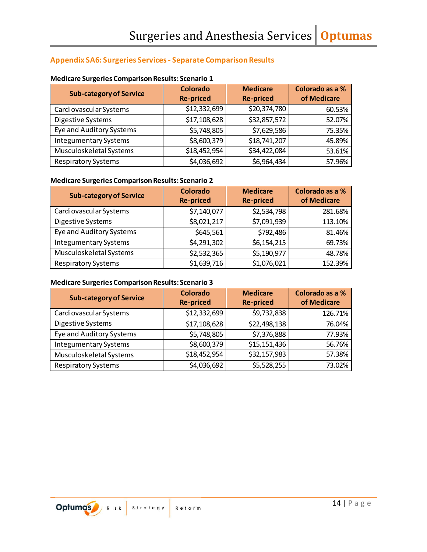# **Appendix SA6: Surgeries Services- Separate Comparison Results**

| <b>Sub-category of Service</b> | <b>Colorado</b><br><b>Re-priced</b> | <b>Medicare</b><br><b>Re-priced</b> | Colorado as a %<br>of Medicare |
|--------------------------------|-------------------------------------|-------------------------------------|--------------------------------|
| Cardiovascular Systems         | \$12,332,699                        | \$20,374,780                        | 60.53%                         |
| Digestive Systems              | \$17,108,628                        | \$32,857,572                        | 52.07%                         |
| Eye and Auditory Systems       | \$5,748,805                         | \$7,629,586                         | 75.35%                         |
| <b>Integumentary Systems</b>   | \$8,600,379                         | \$18,741,207                        | 45.89%                         |
| Musculoskeletal Systems        | \$18,452,954                        | \$34,422,084                        | 53.61%                         |
| <b>Respiratory Systems</b>     | \$4,036,692                         | \$6,964,434                         | 57.96%                         |

#### **Medicare Surgeries Comparison Results: Scenario 1**

#### **Medicare Surgeries Comparison Results: Scenario 2**

| <b>Sub-category of Service</b> | Colorado<br><b>Re-priced</b> | <b>Medicare</b><br><b>Re-priced</b> | Colorado as a %<br>of Medicare |
|--------------------------------|------------------------------|-------------------------------------|--------------------------------|
| Cardiovascular Systems         | \$7,140,077                  | \$2,534,798                         | 281.68%                        |
| Digestive Systems              | \$8,021,217                  | \$7,091,939                         | 113.10%                        |
| Eye and Auditory Systems       | \$645,561                    | \$792,486                           | 81.46%                         |
| <b>Integumentary Systems</b>   | \$4,291,302                  | \$6,154,215                         | 69.73%                         |
| Musculoskeletal Systems        | \$2,532,365                  | \$5,190,977                         | 48.78%                         |
| <b>Respiratory Systems</b>     | \$1,639,716                  | \$1,076,021                         | 152.39%                        |

#### **Medicare Surgeries Comparison Results: Scenario 3**

| <b>Sub-category of Service</b> | <b>Colorado</b><br><b>Re-priced</b> | <b>Medicare</b><br><b>Re-priced</b> | Colorado as a %<br>of Medicare |
|--------------------------------|-------------------------------------|-------------------------------------|--------------------------------|
| Cardiovascular Systems         | \$12,332,699                        | \$9,732,838                         | 126.71%                        |
| Digestive Systems              | \$17,108,628                        | \$22,498,138                        | 76.04%                         |
| Eye and Auditory Systems       | \$5,748,805                         | \$7,376,888                         | 77.93%                         |
| <b>Integumentary Systems</b>   | \$8,600,379                         | \$15,151,436                        | 56.76%                         |
| Musculoskeletal Systems        | \$18,452,954                        | \$32,157,983                        | 57.38%                         |
| <b>Respiratory Systems</b>     | \$4,036,692                         | \$5,528,255                         | 73.02%                         |